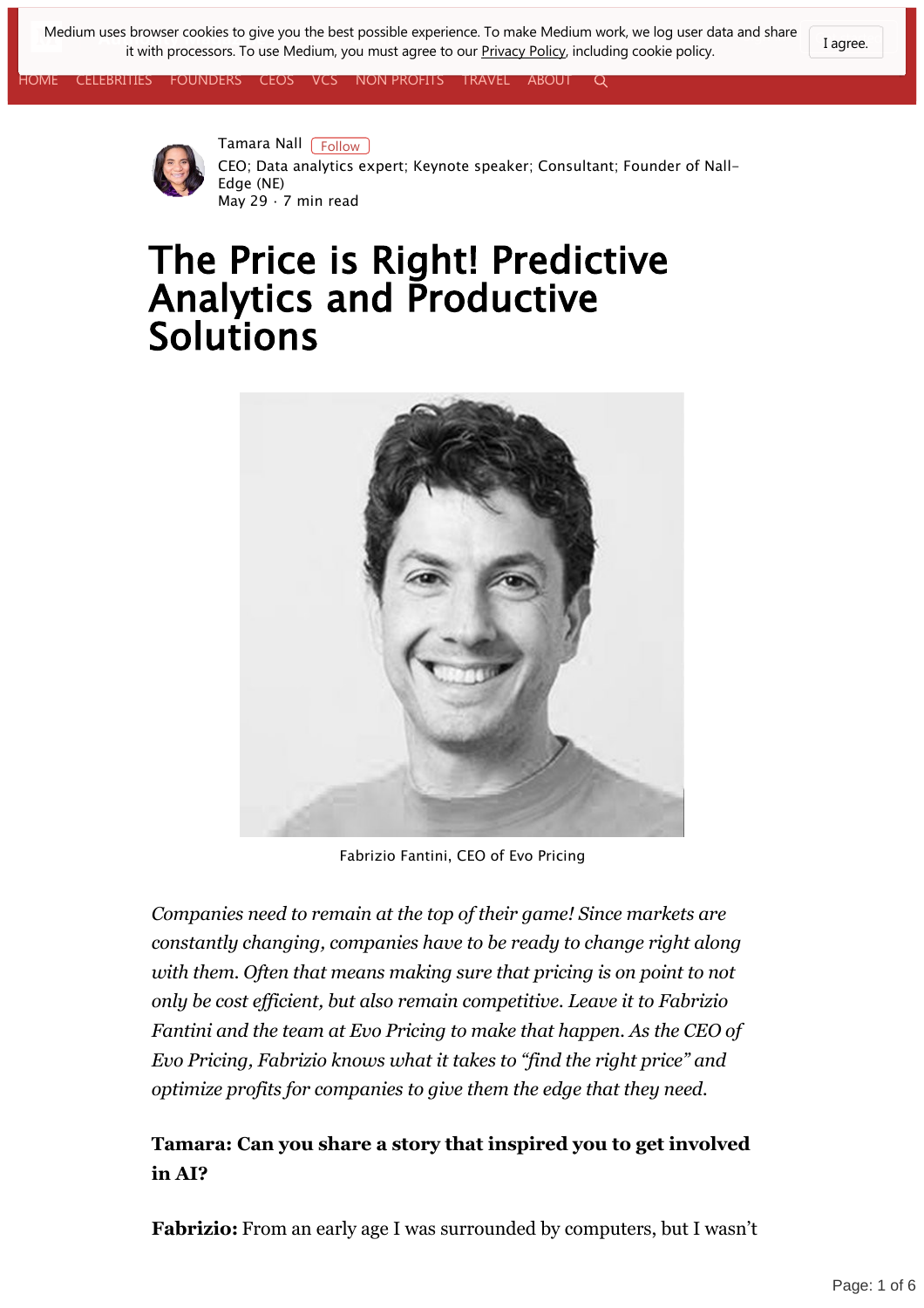[Med](https://medium.com/)ium uses browser cookies to give you the be[st po](https://twitter.com/AuthorityMgzine)[ssibl](https://facebook.com/Authority-Magazine-217029)e experience. To make Medium work, we log user data and share **Follow** Tagree. it with processors. To use Medium, you must agree to our **Privacy Policy**, including cookie policy.

[CELEBRITIES](https://medium.com/authority-magazine/celebrities/home) [FOUNDERS](https://medium.com/authority-magazine/founders/home) [CEOS](https://medium.com/authority-magazine/ceos/home) [VCS](https://medium.com/authority-magazine/vcs/home) NON-PROFITS [TRAVEL](https://medium.com/authority-magazine/tagged/travel) [ABOUT](https://medium.com/authority-magazine/about-authority-magazine-bc4be45bdd05)  $\Omega$ 





[Tamara Nall](https://medium.com/@tamara.nall?source=post_header_lockup) [Follow] CEO; Data analytics expert; Keynote speaker; Consultant; Founder of Nall-Edge (NE) May 29 · 7 min read

# The Price is Right! Predictive Analytics and Productive Solutions



Fabrizio Fantini, CEO of Evo Pricing

*Companies need to remain at the top of their game! Since markets are constantly changing, companies have to be ready to change right along with them. Often that means making sure that pricing is on point to not only be cost efficient, but also remain competitive. Leave it to Fabrizio Fantini and the team at Evo Pricing to make that happen. As the CEO of Evo Pricing, Fabrizio knows what it takes to "find the right price" and optimize profits for companies to give them the edge that they need.*

#### **Tamara: Can you share a story that inspired you to get involved in AI?**

**Fabrizio:** From an early age I was surrounded by computers, but I wasn't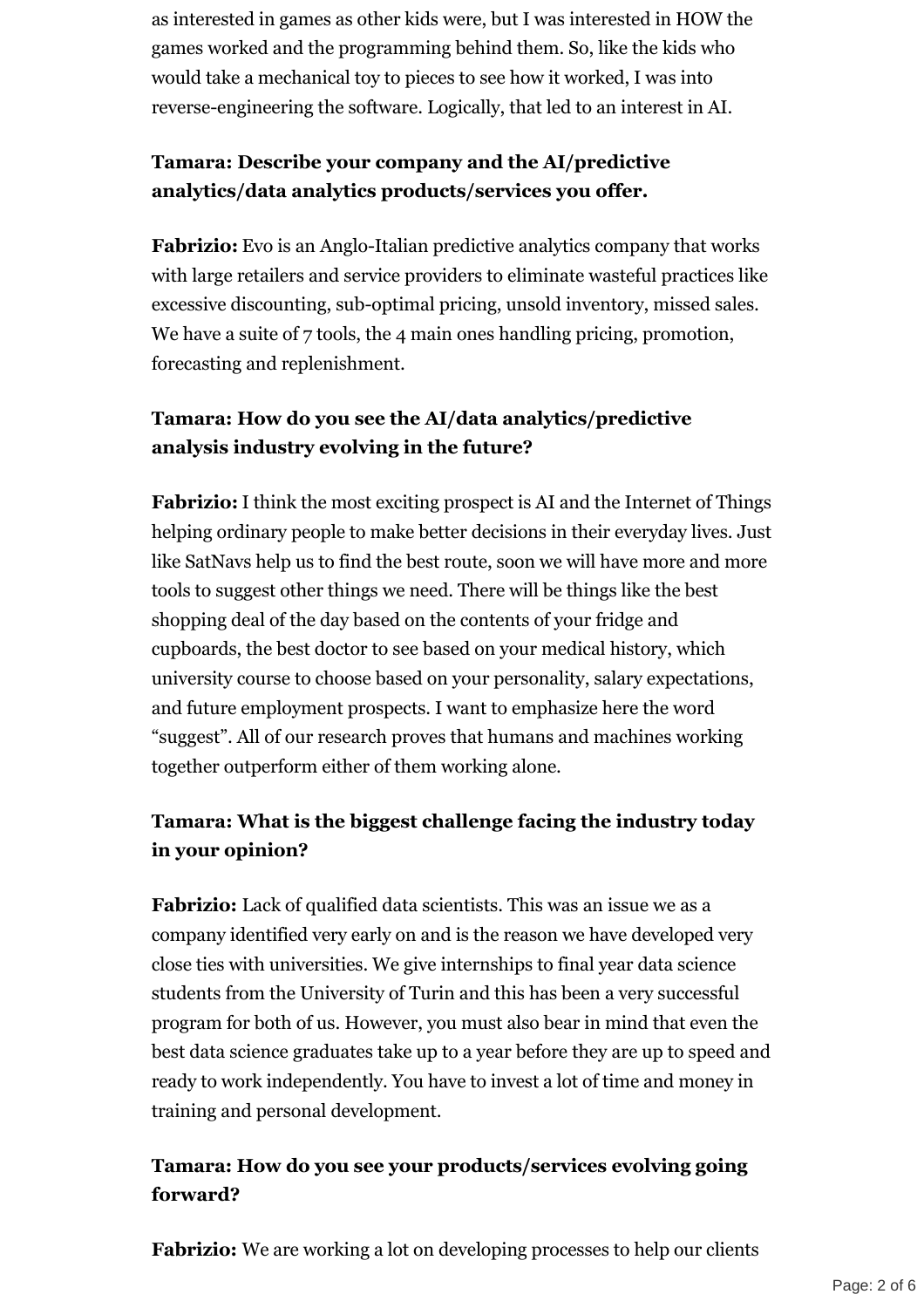as interested in games as other kids were, but I was interested in HOW the games worked and the programming behind them. So, like the kids who would take a mechanical toy to pieces to see how it worked, I was into reverse-engineering the software. Logically, that led to an interest in AI.

### **Tamara: Describe your company and the AI/predictive analytics/data analytics products/services you offer.**

**Fabrizio:** Evo is an Anglo-Italian predictive analytics company that works with large retailers and service providers to eliminate wasteful practices like excessive discounting, sub-optimal pricing, unsold inventory, missed sales. We have a suite of 7 tools, the 4 main ones handling pricing, promotion, forecasting and replenishment.

### **Tamara: How do you see the AI/data analytics/predictive analysis industry evolving in the future?**

**Fabrizio:**I think the most exciting prospect is AI and the Internet of Things helping ordinary people to make better decisions in their everyday lives. Just like SatNavs help us to find the best route, soon we will have more and more tools to suggest other things we need. There will be things like the best shopping deal of the day based on the contents of your fridge and cupboards, the best doctor to see based on your medical history, which university course to choose based on your personality, salary expectations, and future employment prospects. I want to emphasize here the word "suggest". All of our research proves that humans and machines working together outperform either of them working alone.

### **Tamara: What is the biggest challenge facing the industry today in your opinion?**

**Fabrizio:** Lack of qualified data scientists. This was an issue we as a company identified very early on and is the reason we have developed very close ties with universities. We give internships to final year data science students from the University of Turin and this has been a very successful program for both of us. However, you must also bear in mind that even the best data science graduates take up to a year before they are up to speed and ready to work independently. You have to invest a lot of time and money in training and personal development.

#### **Tamara: How do you see your products/services evolving going forward?**

**Fabrizio:** We are working a lot on developing processes to help our clients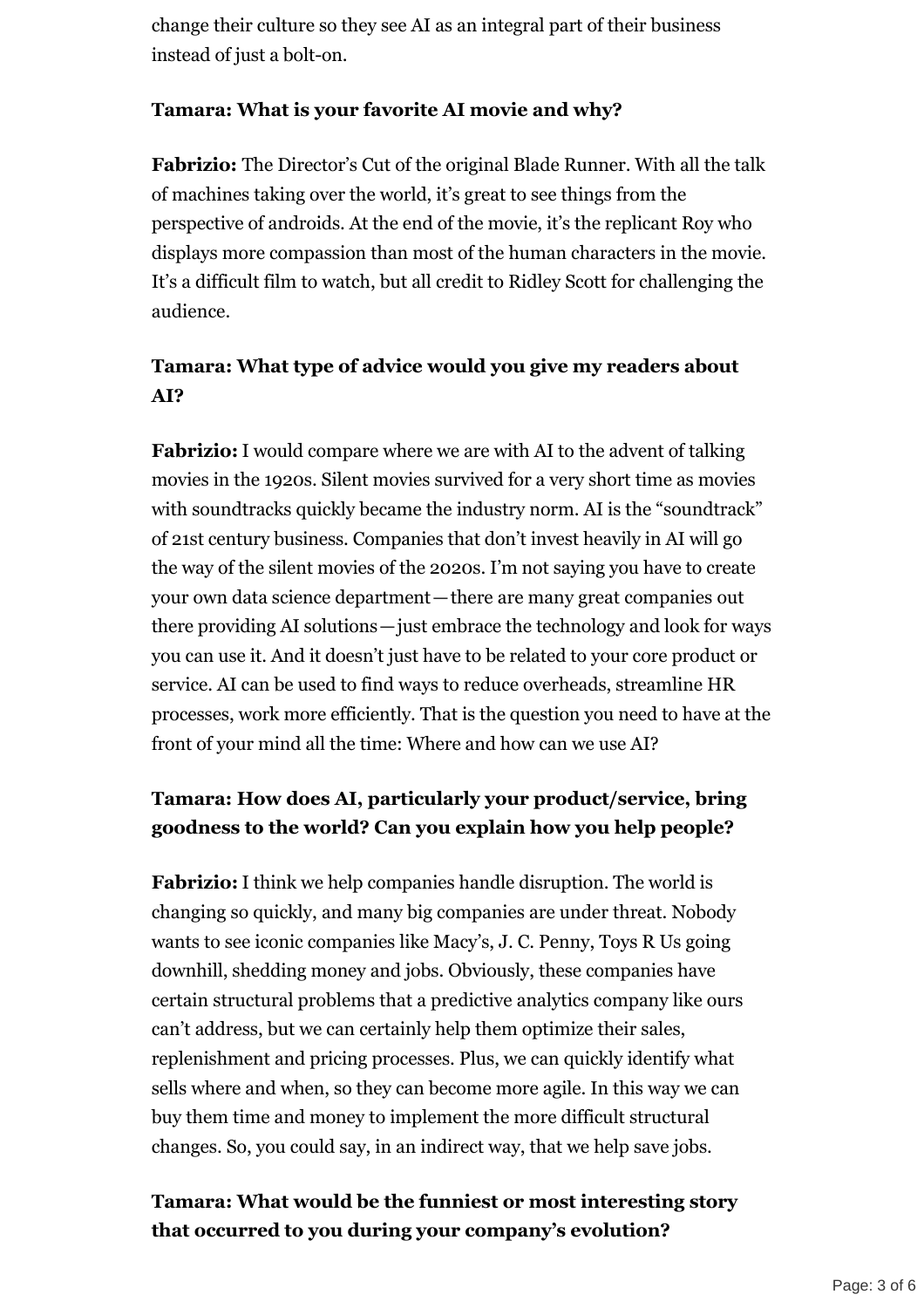change their culture so they see AI as an integral part of their business instead of just a bolt-on.

#### **Tamara: What is your favorite AI movie and why?**

**Fabrizio:** The Director's Cut of the original Blade Runner. With all the talk of machines taking over the world, it's great to see things from the perspective of androids. At the end of the movie, it's the replicant Roy who displays more compassion than most of the human characters in the movie. It's a difficult film to watch, but all credit to Ridley Scott for challenging the audience.

#### **Tamara: What type of advice would you give my readers about AI?**

**Fabrizio:**I would compare where we are with AI to the advent of talking movies in the 1920s. Silent movies survived for a very short time as movies with soundtracks quickly became the industry norm. AI is the "soundtrack" of 21st century business. Companies that don't invest heavily in AI will go the way of the silent movies of the 2020s. I'm not saying you have to create your own data science department—there are many great companies out there providing AI solutions—just embrace the technology and look for ways you can use it. And it doesn't just have to be related to your core product or service. AI can be used to find ways to reduce overheads, streamline HR processes, work more efficiently. That is the question you need to have at the front of your mind all the time: Where and how can we use AI?

### **Tamara: How does AI, particularly your product/service, bring goodness to the world? Can you explain how you help people?**

**Fabrizio:**I think we help companies handle disruption. The world is changing so quickly, and many big companies are under threat. Nobody wants to see iconic companies like Macy's, J. C. Penny, Toys R Us going downhill, shedding money and jobs. Obviously, these companies have certain structural problems that a predictive analytics company like ours can't address, but we can certainly help them optimize their sales, replenishment and pricing processes. Plus, we can quickly identify what sells where and when, so they can become more agile. In this way we can buy them time and money to implement the more difficult structural changes. So, you could say, in an indirect way, that we help save jobs.

#### **Tamara: What would be the funniest or most interesting story that occurred to you during your company's evolution?**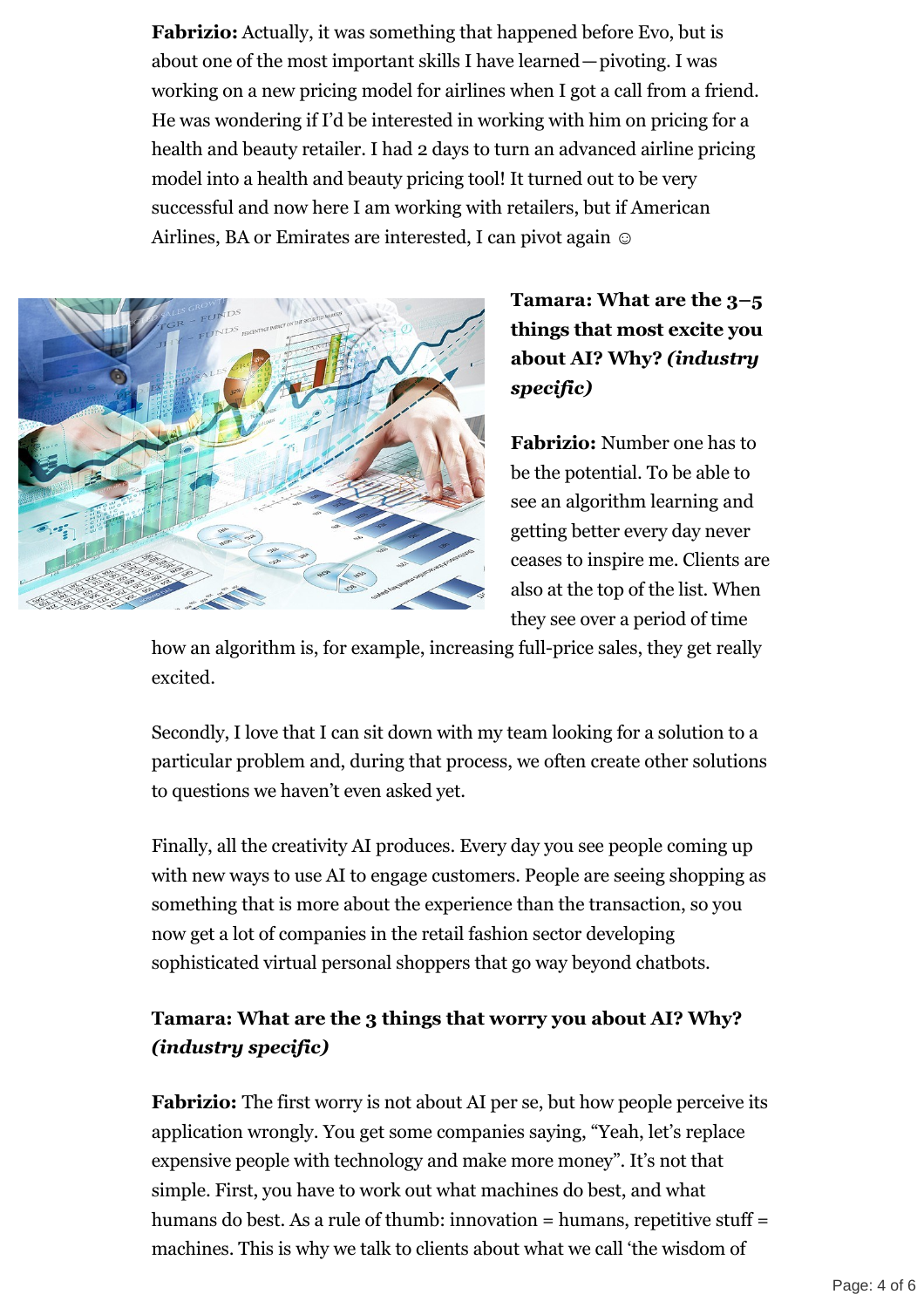**Fabrizio:** Actually, it was something that happened before Evo, but is about one of the most important skills I have learned—pivoting. I was working on a new pricing model for airlines when I got a call from a friend. He was wondering if I'd be interested in working with him on pricing for a health and beauty retailer. I had 2 days to turn an advanced airline pricing model into a health and beauty pricing tool! It turned out to be very successful and now here I am working with retailers, but if American Airlines, BA or Emirates are interested, I can pivot again  $\odot$ 



## **Tamara: What are the 3–5 things that most excite you about AI? Why?** *(industry specific)*

**Fabrizio:** Number one has to be the potential. To be able to see an algorithm learning and getting better every day never ceases to inspire me. Clients are also at the top of the list. When they see over a period of time

how an algorithm is, for example, increasing full-price sales, they get really excited.

Secondly, I love that I can sit down with my team looking for a solution to a particular problem and, during that process, we often create other solutions to questions we haven't even asked yet.

Finally, all the creativity AI produces. Every day you see people coming up with new ways to use AI to engage customers. People are seeing shopping as something that is more about the experience than the transaction, so you now get a lot of companies in the retail fashion sector developing sophisticated virtual personal shoppers that go way beyond chatbots.

#### **Tamara: What are the 3 things that worry you about AI? Why?** *(industry specific)*

**Fabrizio:** The first worry is not about AI per se, but how people perceive its application wrongly. You get some companies saying, "Yeah, let's replace expensive people with technology and make more money". It's not that simple. First, you have to work out what machines do best, and what humans do best. As a rule of thumb: innovation = humans, repetitive stuff = machines. This is why we talk to clients about what we call 'the wisdom of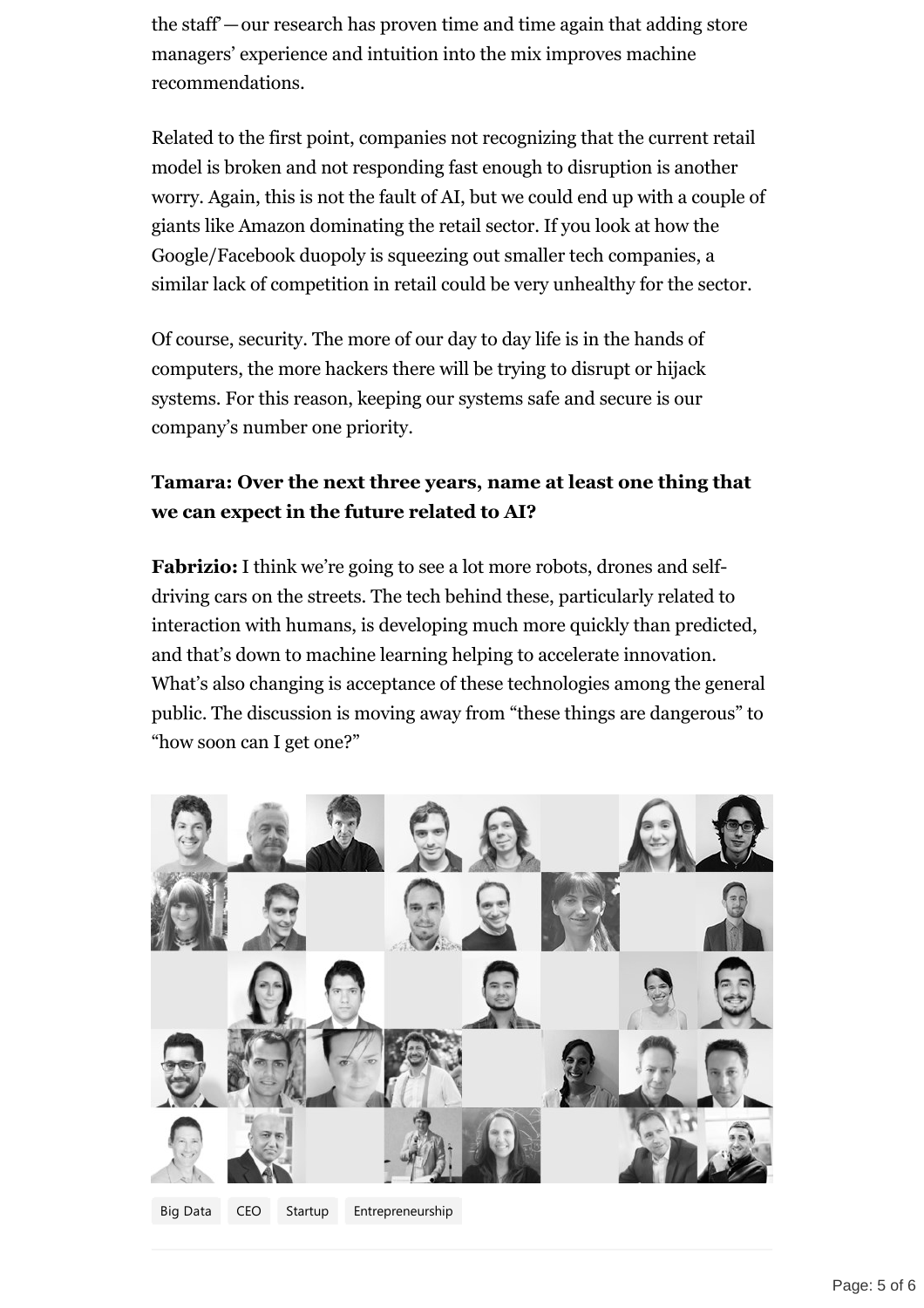the staff'—our research has proven time and time again that adding store managers' experience and intuition into the mix improves machine recommendations.

Related to the first point, companies not recognizing that the current retail model is broken and not responding fast enough to disruption is another worry. Again, this is not the fault of AI, but we could end up with a couple of giants like Amazon dominating the retail sector. If you look at how the Google/Facebook duopoly is squeezing out smaller tech companies, a similar lack of competition in retail could be very unhealthy for the sector.

Of course, security. The more of our day to day life is in the hands of computers, the more hackers there will be trying to disrupt or hijack systems. For this reason, keeping our systems safe and secure is our company's number one priority.

#### **Tamara: Over the next three years, name at least one thing that we can expect in the future related to AI?**

**Fabrizio:** I think we're going to see a lot more robots, drones and selfdriving cars on the streets. The tech behind these, particularly related to interaction with humans, is developing much more quickly than predicted, and that's down to machine learning helping to accelerate innovation. What's also changing is acceptance of these technologies among the general public. The discussion is moving away from "these things are dangerous" to "how soon can I get one?"



[Big Data](https://medium.com/tag/big-data?source=post) [CEO](https://medium.com/tag/ceo?source=post) [Startup](https://medium.com/tag/startup?source=post) [Entrepreneurship](https://medium.com/tag/entrepreneurship?source=post)